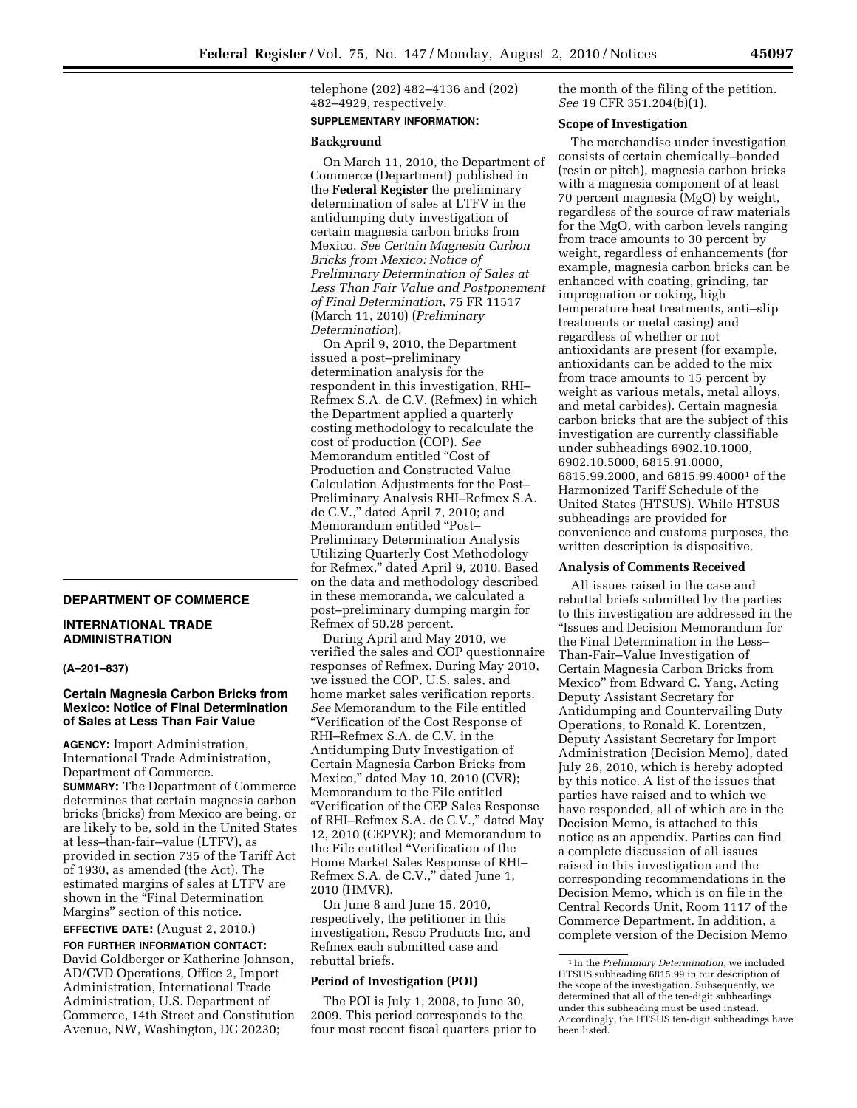telephone (202) 482–4136 and (202) 482–4929, respectively.

# **SUPPLEMENTARY INFORMATION:**

#### **Background**

On March 11, 2010, the Department of Commerce (Department) published in the **Federal Register** the preliminary determination of sales at LTFV in the antidumping duty investigation of certain magnesia carbon bricks from Mexico. *See Certain Magnesia Carbon Bricks from Mexico: Notice of Preliminary Determination of Sales at Less Than Fair Value and Postponement of Final Determination*, 75 FR 11517 (March 11, 2010) (*Preliminary Determination*).

On April 9, 2010, the Department issued a post–preliminary determination analysis for the respondent in this investigation, RHI– Refmex S.A. de C.V. (Refmex) in which the Department applied a quarterly costing methodology to recalculate the cost of production (COP). *See*  Memorandum entitled ''Cost of Production and Constructed Value Calculation Adjustments for the Post– Preliminary Analysis RHI–Refmex S.A. de C.V.,'' dated April 7, 2010; and Memorandum entitled ''Post– Preliminary Determination Analysis Utilizing Quarterly Cost Methodology for Refmex,'' dated April 9, 2010. Based on the data and methodology described in these memoranda, we calculated a post–preliminary dumping margin for Refmex of 50.28 percent.

During April and May 2010, we verified the sales and COP questionnaire responses of Refmex. During May 2010, we issued the COP, U.S. sales, and home market sales verification reports. *See* Memorandum to the File entitled ''Verification of the Cost Response of RHI–Refmex S.A. de C.V. in the Antidumping Duty Investigation of Certain Magnesia Carbon Bricks from Mexico,'' dated May 10, 2010 (CVR); Memorandum to the File entitled ''Verification of the CEP Sales Response of RHI–Refmex S.A. de C.V.,'' dated May 12, 2010 (CEPVR); and Memorandum to the File entitled ''Verification of the Home Market Sales Response of RHI– Refmex S.A. de C.V.," dated June 1, 2010 (HMVR).

On June 8 and June 15, 2010, respectively, the petitioner in this investigation, Resco Products Inc, and Refmex each submitted case and rebuttal briefs.

#### **Period of Investigation (POI)**

The POI is July 1, 2008, to June 30, 2009. This period corresponds to the four most recent fiscal quarters prior to the month of the filing of the petition. *See* 19 CFR 351.204(b)(1).

### **Scope of Investigation**

The merchandise under investigation consists of certain chemically–bonded (resin or pitch), magnesia carbon bricks with a magnesia component of at least 70 percent magnesia (MgO) by weight, regardless of the source of raw materials for the MgO, with carbon levels ranging from trace amounts to 30 percent by weight, regardless of enhancements (for example, magnesia carbon bricks can be enhanced with coating, grinding, tar impregnation or coking, high temperature heat treatments, anti–slip treatments or metal casing) and regardless of whether or not antioxidants are present (for example, antioxidants can be added to the mix from trace amounts to 15 percent by weight as various metals, metal alloys, and metal carbides). Certain magnesia carbon bricks that are the subject of this investigation are currently classifiable under subheadings 6902.10.1000, 6902.10.5000, 6815.91.0000, 6815.99.2000, and 6815.99.40001 of the Harmonized Tariff Schedule of the United States (HTSUS). While HTSUS subheadings are provided for convenience and customs purposes, the written description is dispositive.

#### **Analysis of Comments Received**

All issues raised in the case and rebuttal briefs submitted by the parties to this investigation are addressed in the ''Issues and Decision Memorandum for the Final Determination in the Less– Than-Fair–Value Investigation of Certain Magnesia Carbon Bricks from Mexico'' from Edward C. Yang, Acting Deputy Assistant Secretary for Antidumping and Countervailing Duty Operations, to Ronald K. Lorentzen, Deputy Assistant Secretary for Import Administration (Decision Memo), dated July 26, 2010, which is hereby adopted by this notice. A list of the issues that parties have raised and to which we have responded, all of which are in the Decision Memo, is attached to this notice as an appendix. Parties can find a complete discussion of all issues raised in this investigation and the corresponding recommendations in the Decision Memo, which is on file in the Central Records Unit, Room 1117 of the Commerce Department. In addition, a complete version of the Decision Memo

# **DEPARTMENT OF COMMERCE**

## **INTERNATIONAL TRADE ADMINISTRATION**

### **(A–201–837)**

# **Certain Magnesia Carbon Bricks from Mexico: Notice of Final Determination of Sales at Less Than Fair Value**

**AGENCY:** Import Administration, International Trade Administration, Department of Commerce. **SUMMARY:** The Department of Commerce determines that certain magnesia carbon bricks (bricks) from Mexico are being, or are likely to be, sold in the United States at less–than-fair–value (LTFV), as provided in section 735 of the Tariff Act of 1930, as amended (the Act). The estimated margins of sales at LTFV are shown in the "Final Determination Margins'' section of this notice.

# **EFFECTIVE DATE:** (August 2, 2010.)

**FOR FURTHER INFORMATION CONTACT:**  David Goldberger or Katherine Johnson, AD/CVD Operations, Office 2, Import Administration, International Trade Administration, U.S. Department of Commerce, 14th Street and Constitution Avenue, NW, Washington, DC 20230;

<sup>1</sup> In the *Preliminary Determination*, we included HTSUS subheading 6815.99 in our description of the scope of the investigation. Subsequently, we determined that all of the ten-digit subheadings under this subheading must be used instead. Accordingly, the HTSUS ten-digit subheadings have been listed.